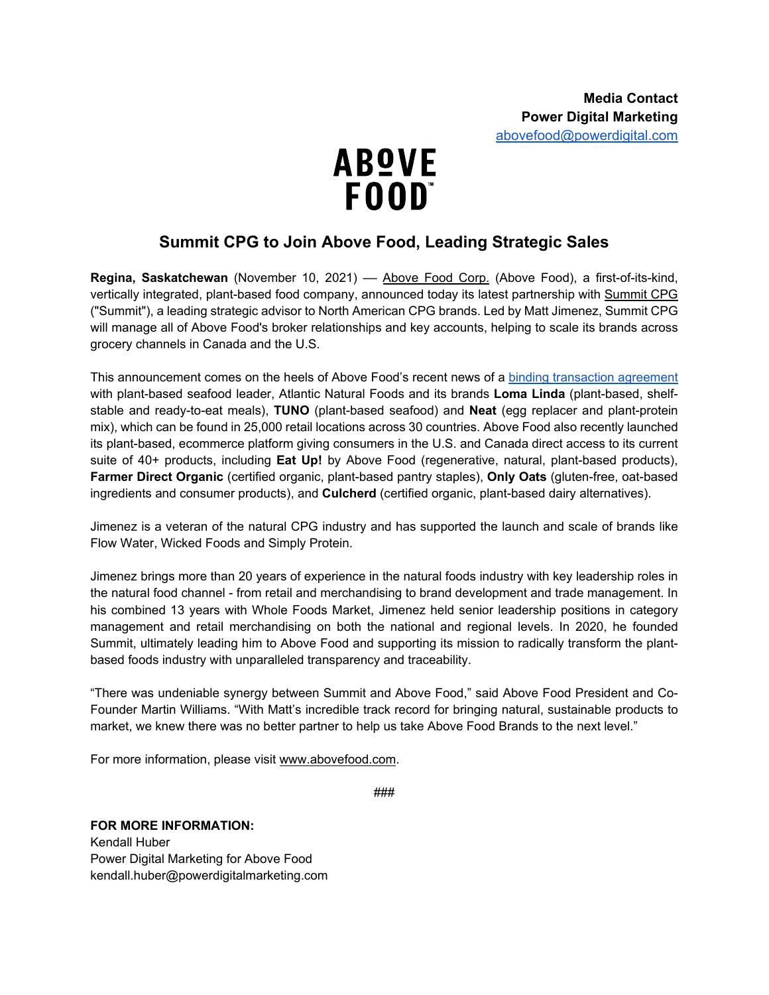

## **Summit CPG to Join Above Food, Leading Strategic Sales**

Regina, Saskatchewan (November 10, 2021) - [Above Food Corp.](https://abovefood.ca/) (Above Food), a first-of-its-kind, vertically integrated, plant-based food company, announced today its latest partnership with [Summit CPG](https://summitcpg.com/) ("Summit"), a leading strategic advisor to North American CPG brands. Led by Matt Jimenez, Summit CPG will manage all of Above Food's broker relationships and key accounts, helping to scale its brands across grocery channels in Canada and the U.S.

This announcement comes on the heels of Above Food's recent news of a [binding transaction agreement](https://www.prnewswire.com/news-releases/above-food-and-atlantic-natural-foods-partner-to-create-a-global-leader-in-sustainable-affordable-plant-protein-foods-301406987.html) with plant-based seafood leader, Atlantic Natural Foods and its brands **Loma Linda** (plant-based, shelfstable and ready-to-eat meals), **TUNO** (plant-based seafood) and **Neat** (egg replacer and plant-protein mix), which can be found in 25,000 retail locations across 30 countries. Above Food also recently launched its plant-based, ecommerce platform giving consumers in the U.S. and Canada direct access to its current suite of 40+ products, including **Eat Up!** by Above Food (regenerative, natural, plant-based products), **Farmer Direct Organic** (certified organic, plant-based pantry staples), **Only Oats** (gluten-free, oat-based ingredients and consumer products), and **Culcherd** (certified organic, plant-based dairy alternatives).

Jimenez is a veteran of the natural CPG industry and has supported the launch and scale of brands like Flow Water, Wicked Foods and Simply Protein.

Jimenez brings more than 20 years of experience in the natural foods industry with key leadership roles in the natural food channel - from retail and merchandising to brand development and trade management. In his combined 13 years with Whole Foods Market, Jimenez held senior leadership positions in category management and retail merchandising on both the national and regional levels. In 2020, he founded Summit, ultimately leading him to Above Food and supporting its mission to radically transform the plantbased foods industry with unparalleled transparency and traceability.

"There was undeniable synergy between Summit and Above Food," said Above Food President and Co-Founder Martin Williams. "With Matt's incredible track record for bringing natural, sustainable products to market, we knew there was no better partner to help us take Above Food Brands to the next level."

For more information, please visit [www.abovefood.com.](http://www.abovefood.com/)

###

**FOR MORE INFORMATION:** Kendall Huber

Power Digital Marketing for Above Food kendall.huber@powerdigitalmarketing.com